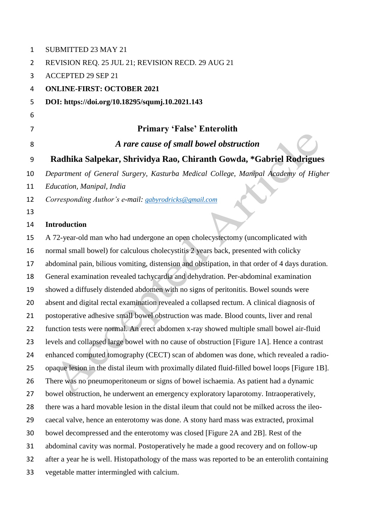| 1              | SUBMITTED 23 MAY 21                                                                             |
|----------------|-------------------------------------------------------------------------------------------------|
| $\overline{2}$ | REVISION REQ. 25 JUL 21; REVISION RECD. 29 AUG 21                                               |
| 3              | <b>ACCEPTED 29 SEP 21</b>                                                                       |
| 4              | <b>ONLINE-FIRST: OCTOBER 2021</b>                                                               |
| 5              | DOI: https://doi.org/10.18295/squmj.10.2021.143                                                 |
| 6              |                                                                                                 |
| 7              | <b>Primary 'False' Enterolith</b>                                                               |
| 8              | A rare cause of small bowel obstruction                                                         |
| 9              | Radhika Salpekar, Shrividya Rao, Chiranth Gowda, *Gabriel Rodrigues                             |
| 10             | Department of General Surgery, Kasturba Medical College, Manipal Academy of Higher              |
| 11             | Education, Manipal, India                                                                       |
| 12             | Corresponding Author's e-mail: gabyrodricks@gmail.com                                           |
| 13             |                                                                                                 |
| 14             | <b>Introduction</b>                                                                             |
| 15             | A 72-year-old man who had undergone an open cholecystectomy (uncomplicated with                 |
| 16             | normal small bowel) for calculous cholecystitis 2 years back, presented with colicky            |
| 17             | abdominal pain, bilious vomiting, distension and obstipation, in that order of 4 days duration. |
| 18             | General examination revealed tachycardia and dehydration. Per-abdominal examination             |
| 19             | showed a diffusely distended abdomen with no signs of peritonitis. Bowel sounds were            |
| 20             | absent and digital rectal examination revealed a collapsed rectum. A clinical diagnosis of      |
| 21             | postoperative adhesive small bowel obstruction was made. Blood counts, liver and renal          |
| 22             | function tests were normal. An erect abdomen x-ray showed multiple small bowel air-fluid        |
| 23             | levels and collapsed large bowel with no cause of obstruction [Figure 1A]. Hence a contrast     |
| 24             | enhanced computed tomography (CECT) scan of abdomen was done, which revealed a radio-           |
| 25             | opaque lesion in the distal ileum with proximally dilated fluid-filled bowel loops [Figure 1B]. |
| 26             | There was no pneumoperitoneum or signs of bowel ischaemia. As patient had a dynamic             |
| 27             | bowel obstruction, he underwent an emergency exploratory laparotomy. Intraoperatively,          |
| 28             | there was a hard movable lesion in the distal ileum that could not be milked across the ileo-   |
| 29             | caecal valve, hence an enterotomy was done. A stony hard mass was extracted, proximal           |
| 30             | bowel decompressed and the enterotomy was closed [Figure 2A and 2B]. Rest of the                |
| 31             | abdominal cavity was normal. Postoperatively he made a good recovery and on follow-up           |
| 32             | after a year he is well. Histopathology of the mass was reported to be an enterolith containing |
| 33             | vegetable matter intermingled with calcium.                                                     |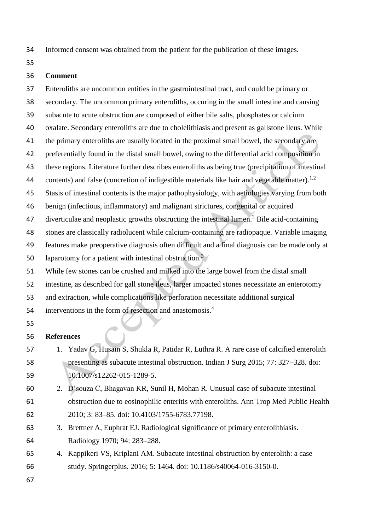Informed consent was obtained from the patient for the publication of these images.

## **Comment**

 Enteroliths are uncommon entities in the gastrointestinal tract, and could be primary or secondary. The uncommon primary enteroliths, occuring in the small intestine and causing subacute to acute obstruction are composed of either bile salts, phosphates or calcium oxalate. Secondary enteroliths are due to cholelithiasis and present as gallstone ileus. While 41 the primary enteroliths are usually located in the proximal small bowel, the secondary are preferentially found in the distal small bowel, owing to the differential acid composition in these regions. Literature further describes enteroliths as being true (precipitation of intestinal 44 contents) and false (concretion of indigestible materials like hair and vegetable matter).<sup>1,2</sup> Stasis of intestinal contents is the major pathophysiology, with aetiologies varying from both benign (infectious, inflammatory) and malignant strictures, congenital or acquired 47 diverticulae and neoplastic growths obstructing the intestinal lumen.<sup>2</sup> Bile acid-containing stones are classically radiolucent while calcium-containing are radiopaque. Variable imaging features make preoperative diagnosis often difficult and a final diagnosis can be made only at 50 laparotomy for a patient with intestinal obstruction.<sup>3</sup> While few stones can be crushed and milked into the large bowel from the distal small intestine, as described for gall stone ileus, larger impacted stones necessitate an enterotomy and extraction, while complications like perforation necessitate additional surgical 54 interventions in the form of resection and anastomosis.<sup>4</sup>

## **References**

- 1. Yadav G, Husain S, Shukla R, Patidar R, Luthra R. A rare case of calcified enterolith presenting as subacute intestinal obstruction. Indian J Surg 2015; 77: 327–328. doi: 10.1007/s12262-015-1289-5.
- 2. D'souza C, Bhagavan KR, Sunil H, Mohan R. Unusual case of subacute intestinal obstruction due to eosinophilic enteritis with enteroliths. Ann Trop Med Public Health 2010; 3: 83–85. doi: 10.4103/1755-6783.77198.
- 3. Brettner A, Euphrat EJ. Radiological significance of primary enterolithiasis. Radiology 1970; 94: 283–288.
- 4. Kappikeri VS, Kriplani AM. Subacute intestinal obstruction by enterolith: a case study. Springerplus. 2016; 5: 1464. doi: 10.1186/s40064-016-3150-0.
-